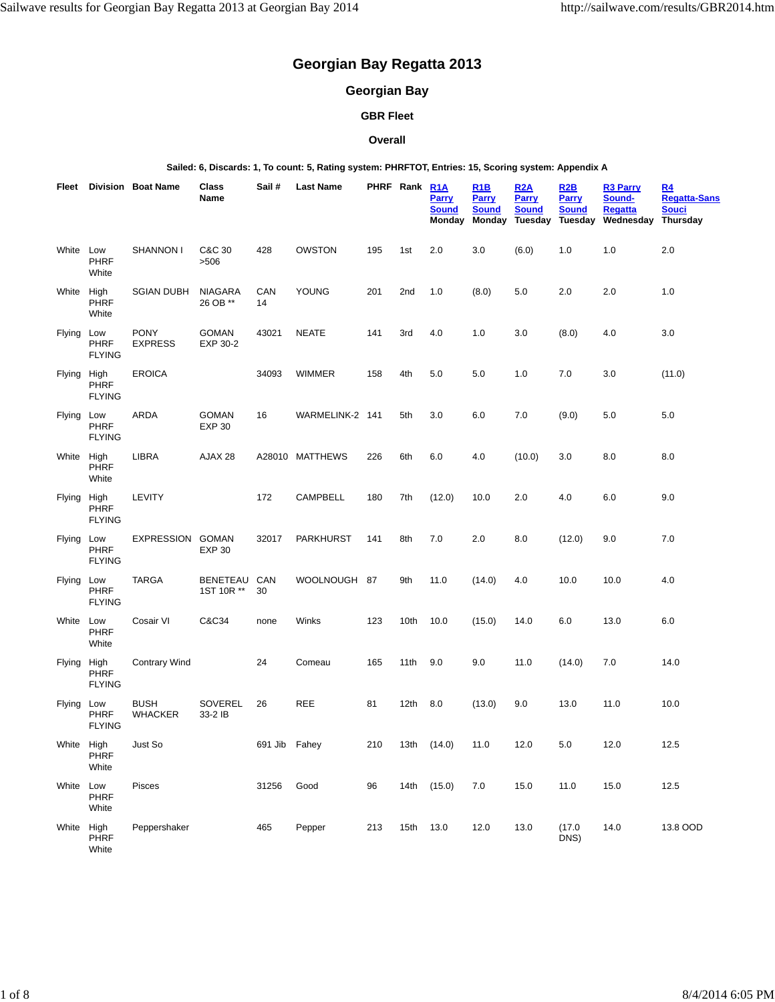# **Georgian Bay Regatta 2013**

# **Georgian Bay**

# **GBR Fleet**

#### **Overall**

**Sailed: 6, Discards: 1, To count: 5, Rating system: PHRFTOT, Entries: 15, Scoring system: Appendix A**

|             |                              | <b>Fleet</b> Division Boat Name | Class<br>Name                 | Sail#         | <b>Last Name</b> |     | PHRF Rank | R1A<br><b>Parry</b><br><b>Sound</b><br>Monday | <u>R1B</u><br><b>Parry</b><br><b>Sound</b><br>Monday | R2A<br>Parry<br><b>Sound</b><br>Tuesday | R2B<br><b>Parry</b><br><b>Sound</b><br>Tuesday | <b>R3 Parry</b><br>Sound-<br><b>Regatta</b><br>Wednesday | R <sub>4</sub><br><u>Regatta-Sans</u><br>Souci<br>Thursday |
|-------------|------------------------------|---------------------------------|-------------------------------|---------------|------------------|-----|-----------|-----------------------------------------------|------------------------------------------------------|-----------------------------------------|------------------------------------------------|----------------------------------------------------------|------------------------------------------------------------|
| White Low   | <b>PHRF</b><br>White         | <b>SHANNON I</b>                | C&C 30<br>>506                | 428           | OWSTON           | 195 | 1st       | 2.0                                           | 3.0                                                  | (6.0)                                   | 1.0                                            | 1.0                                                      | 2.0                                                        |
| White High  | PHRF<br>White                | <b>SGIAN DUBH</b>               | <b>NIAGARA</b><br>26 OB **    | CAN<br>14     | YOUNG            | 201 | 2nd       | 1.0                                           | (8.0)                                                | 5.0                                     | 2.0                                            | 2.0                                                      | 1.0                                                        |
| Flying Low  | <b>PHRF</b><br><b>FLYING</b> | <b>PONY</b><br><b>EXPRESS</b>   | <b>GOMAN</b><br>EXP 30-2      | 43021         | <b>NEATE</b>     | 141 | 3rd       | 4.0                                           | 1.0                                                  | 3.0                                     | (8.0)                                          | 4.0                                                      | 3.0                                                        |
| Flying High | PHRF<br><b>FLYING</b>        | <b>EROICA</b>                   |                               | 34093         | WIMMER           | 158 | 4th       | 5.0                                           | 5.0                                                  | 1.0                                     | 7.0                                            | 3.0                                                      | (11.0)                                                     |
| Flying Low  | <b>PHRF</b><br><b>FLYING</b> | ARDA                            | <b>GOMAN</b><br><b>EXP 30</b> | 16            | WARMELINK-2 141  |     | 5th       | 3.0                                           | 6.0                                                  | 7.0                                     | (9.0)                                          | 5.0                                                      | 5.0                                                        |
| White High  | PHRF<br>White                | LIBRA                           | AJAX 28                       |               | A28010 MATTHEWS  | 226 | 6th       | 6.0                                           | 4.0                                                  | (10.0)                                  | 3.0                                            | 8.0                                                      | 8.0                                                        |
| Flying High | PHRF<br><b>FLYING</b>        | <b>LEVITY</b>                   |                               | 172           | <b>CAMPBELL</b>  | 180 | 7th       | (12.0)                                        | 10.0                                                 | 2.0                                     | 4.0                                            | 6.0                                                      | 9.0                                                        |
| Flying Low  | <b>PHRF</b><br><b>FLYING</b> | EXPRESSION GOMAN                | <b>EXP 30</b>                 | 32017         | <b>PARKHURST</b> | 141 | 8th       | 7.0                                           | 2.0                                                  | 8.0                                     | (12.0)                                         | 9.0                                                      | 7.0                                                        |
| Flying Low  | <b>PHRF</b><br><b>FLYING</b> | <b>TARGA</b>                    | BENETEAU<br>1ST 10R **        | CAN<br>30     | WOOLNOUGH 87     |     | 9th       | 11.0                                          | (14.0)                                               | 4.0                                     | 10.0                                           | 10.0                                                     | 4.0                                                        |
| White       | Low<br>PHRF<br>White         | Cosair VI                       | C&C34                         | none          | Winks            | 123 | 10th      | 10.0                                          | (15.0)                                               | 14.0                                    | 6.0                                            | 13.0                                                     | 6.0                                                        |
| Flying High | PHRF<br><b>FLYING</b>        | <b>Contrary Wind</b>            |                               | 24            | Comeau           | 165 | 11th      | 9.0                                           | 9.0                                                  | 11.0                                    | (14.0)                                         | 7.0                                                      | 14.0                                                       |
| Flying Low  | <b>PHRF</b><br><b>FLYING</b> | <b>BUSH</b><br><b>WHACKER</b>   | SOVEREL<br>33-2 IB            | 26            | REE              | 81  | 12th      | 8.0                                           | (13.0)                                               | 9.0                                     | 13.0                                           | 11.0                                                     | 10.0                                                       |
| White High  | PHRF<br>White                | Just So                         |                               | 691 Jib Fahey |                  | 210 | 13th      | (14.0)                                        | 11.0                                                 | 12.0                                    | 5.0                                            | 12.0                                                     | 12.5                                                       |
| White       | Low<br>PHRF<br>White         | Pisces                          |                               | 31256         | Good             | 96  |           | 14th (15.0)                                   | 7.0                                                  | 15.0                                    | 11.0                                           | 15.0                                                     | 12.5                                                       |
| White High  | PHRF<br>White                | Peppershaker                    |                               | 465           | Pepper           | 213 | 15th      | 13.0                                          | 12.0                                                 | 13.0                                    | (17.0)<br>DNS)                                 | 14.0                                                     | 13.8 OOD                                                   |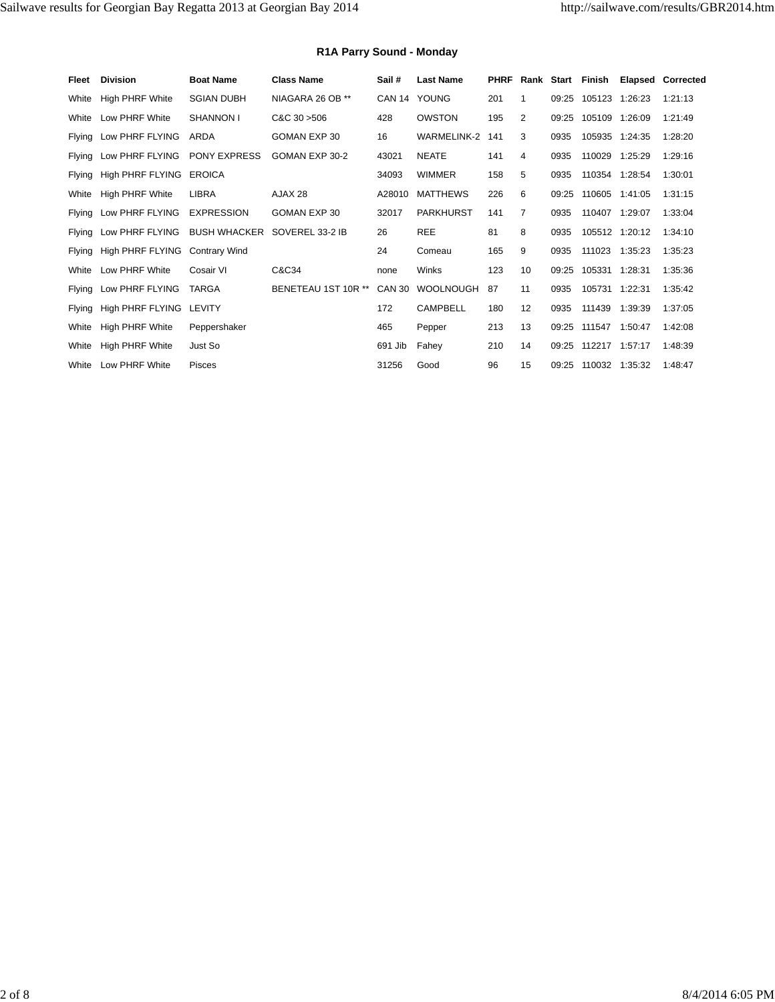## **R1A Parry Sound - Monday**

| Fleet         | <b>Division</b>        | <b>Boat Name</b>     | <b>Class Name</b>   | Sail#         | <b>Last Name</b>   | <b>PHRF</b> | Rank           | Start | Finish               | Elapsed        | Corrected |
|---------------|------------------------|----------------------|---------------------|---------------|--------------------|-------------|----------------|-------|----------------------|----------------|-----------|
| White         | High PHRF White        | <b>SGIAN DUBH</b>    | NIAGARA 26 OB **    |               | CAN 14 YOUNG       | 201         | 1              | 09:25 | 105123 1:26:23       |                | 1:21:13   |
| White         | Low PHRF White         | <b>SHANNON I</b>     | C&C30>506           | 428           | <b>OWSTON</b>      | 195         | 2              | 09:25 | 105109 1:26:09       |                | 1:21:49   |
| Flying        | Low PHRF FLYING        | ARDA                 | GOMAN EXP 30        | 16            | <b>WARMELINK-2</b> | 141         | 3              | 0935  |                      | 105935 1:24:35 | 1:28:20   |
| <b>Flying</b> | Low PHRF FLYING        | PONY EXPRESS         | GOMAN EXP 30-2      | 43021         | <b>NEATE</b>       | 141         | 4              | 0935  |                      | 110029 1:25:29 | 1:29:16   |
| <b>Flying</b> | High PHRF FLYING       | <b>EROICA</b>        |                     | 34093         | <b>WIMMER</b>      | 158         | 5              | 0935  |                      | 110354 1:28:54 | 1:30:01   |
| White         | <b>High PHRF White</b> | <b>LIBRA</b>         | AJAX 28             | A28010        | <b>MATTHEWS</b>    | 226         | 6              | 09:25 |                      | 110605 1:41:05 | 1:31:15   |
| Flying        | Low PHRF FLYING        | <b>EXPRESSION</b>    | GOMAN EXP 30        | 32017         | <b>PARKHURST</b>   | 141         | $\overline{7}$ | 0935  |                      | 110407 1:29:07 | 1:33:04   |
| Flying        | Low PHRF FLYING        | <b>BUSH WHACKER</b>  | SOVEREL 33-2 IB     | 26            | <b>REE</b>         | 81          | 8              | 0935  |                      | 105512 1:20:12 | 1:34:10   |
| Flying        | High PHRF FLYING       | <b>Contrary Wind</b> |                     | 24            | Comeau             | 165         | 9              | 0935  |                      | 111023 1:35:23 | 1:35:23   |
| White         | Low PHRF White         | Cosair VI            | C&C34               | none          | Winks              | 123         | 10             | 09:25 | 105331 1:28:31       |                | 1:35:36   |
| <b>Flying</b> | Low PHRF FLYING        | <b>TARGA</b>         | BENETEAU 1ST 10R ** | <b>CAN 30</b> | <b>WOOLNOUGH</b>   | 87          | 11             | 0935  | 105731 1:22:31       |                | 1:35:42   |
| <b>Flying</b> | High PHRF FLYING       | LEVITY               |                     | 172           | CAMPBELL           | 180         | 12             | 0935  | 111439               | 1:39:39        | 1:37:05   |
| White         | <b>High PHRF White</b> | Peppershaker         |                     | 465           | Pepper             | 213         | 13             |       | 09:25 111547 1:50:47 |                | 1:42:08   |
| White         | <b>High PHRF White</b> | Just So              |                     | 691 Jib       | Fahey              | 210         | 14             | 09:25 | 112217 1:57:17       |                | 1:48:39   |
| White         | Low PHRF White         | <b>Pisces</b>        |                     | 31256         | Good               | 96          | 15             | 09:25 | 110032 1:35:32       |                | 1:48:47   |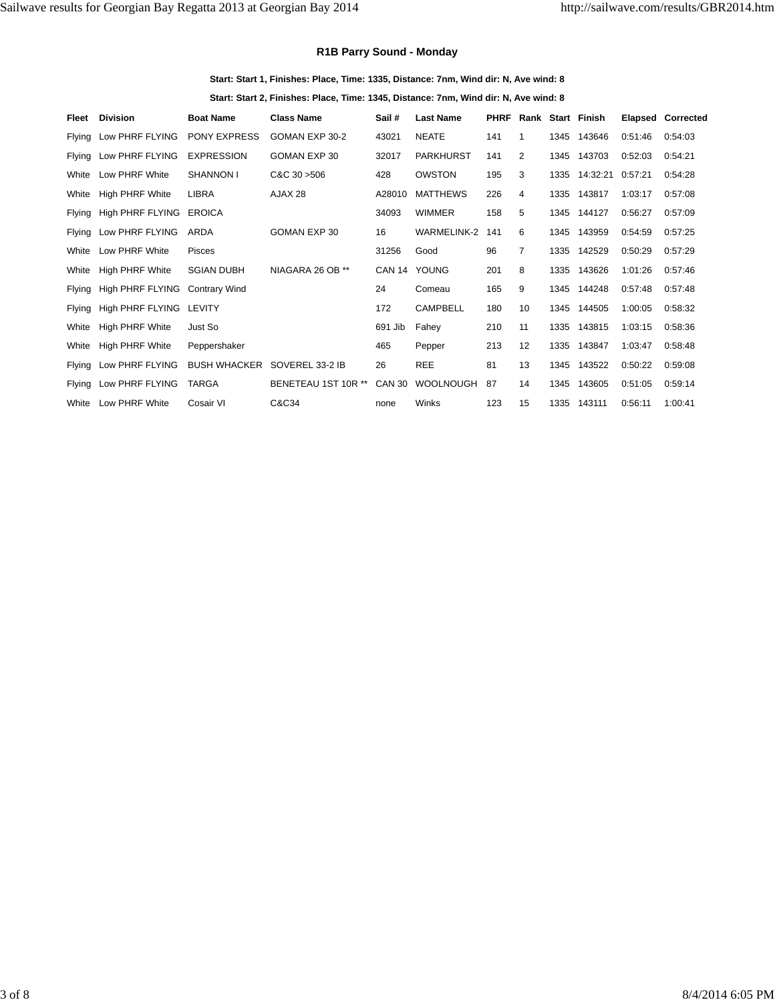#### **R1B Parry Sound - Monday**

**Start: Start 1, Finishes: Place, Time: 1335, Distance: 7nm, Wind dir: N, Ave wind: 8 Start: Start 2, Finishes: Place, Time: 1345, Distance: 7nm, Wind dir: N, Ave wind: 8**

| Fleet         | <b>Division</b>         | <b>Boat Name</b>     | <b>Class Name</b>   | Sail #        | <b>Last Name</b>   | <b>PHRF</b> |                |      | Rank Start Finish | Elapsed | Corrected |
|---------------|-------------------------|----------------------|---------------------|---------------|--------------------|-------------|----------------|------|-------------------|---------|-----------|
| Flying        | Low PHRF FLYING         | <b>PONY EXPRESS</b>  | GOMAN EXP 30-2      | 43021         | <b>NEATE</b>       | 141         | 1              |      | 1345 143646       | 0:51:46 | 0:54:03   |
| Flying        | Low PHRF FLYING         | <b>EXPRESSION</b>    | <b>GOMAN EXP 30</b> | 32017         | <b>PARKHURST</b>   | 141         | 2              |      | 1345 143703       | 0:52:03 | 0:54:21   |
| White         | Low PHRF White          | <b>SHANNON I</b>     | $C&C$ 30 $>506$     | 428           | <b>OWSTON</b>      | 195         | 3              | 1335 | 14:32:21          | 0:57:21 | 0:54:28   |
| White         | <b>High PHRF White</b>  | <b>LIBRA</b>         | AJAX 28             | A28010        | <b>MATTHEWS</b>    | 226         | 4              |      | 1335 143817       | 1:03:17 | 0:57:08   |
| <b>Flying</b> | High PHRF FLYING        | <b>EROICA</b>        |                     | 34093         | <b>WIMMER</b>      | 158         | 5              |      | 1345 144127       | 0:56:27 | 0:57:09   |
| <b>Flying</b> | Low PHRF FLYING         | <b>ARDA</b>          | GOMAN EXP 30        | 16            | <b>WARMELINK-2</b> | 141         | 6              | 1345 | 143959            | 0:54:59 | 0:57:25   |
| White         | Low PHRF White          | <b>Pisces</b>        |                     | 31256         | Good               | 96          | $\overline{7}$ | 1335 | 142529            | 0:50:29 | 0:57:29   |
| White         | <b>High PHRF White</b>  | <b>SGIAN DUBH</b>    | NIAGARA 26 OB **    | <b>CAN 14</b> | YOUNG              | 201         | 8              | 1335 | 143626            | 1:01:26 | 0:57:46   |
| <b>Flying</b> | High PHRF FLYING        | <b>Contrary Wind</b> |                     | 24            | Comeau             | 165         | 9              |      | 1345 144248       | 0:57:48 | 0:57:48   |
| <b>Flying</b> | High PHRF FLYING LEVITY |                      |                     | 172           | <b>CAMPBELL</b>    | 180         | 10             |      | 1345 144505       | 1:00:05 | 0:58:32   |
| White         | <b>High PHRF White</b>  | Just So              |                     | 691 Jib       | Fahev              | 210         | 11             |      | 1335 143815       | 1:03:15 | 0:58:36   |
| White         | <b>High PHRF White</b>  | Peppershaker         |                     | 465           | Pepper             | 213         | 12             |      | 1335 143847       | 1:03:47 | 0:58:48   |
| Flying        | Low PHRF FLYING         | <b>BUSH WHACKER</b>  | SOVEREL 33-2 IB     | 26            | <b>REE</b>         | 81          | 13             |      | 1345 143522       | 0:50:22 | 0:59:08   |
| Flying        | Low PHRF FLYING         | <b>TARGA</b>         | BENETEAU 1ST 10R ** | <b>CAN 30</b> | <b>WOOLNOUGH</b>   | 87          | 14             |      | 1345 143605       | 0:51:05 | 0:59:14   |
| White         | Low PHRF White          | Cosair VI            | C&C34               | none          | Winks              | 123         | 15             | 1335 | 143111            | 0:56:11 | 1:00:41   |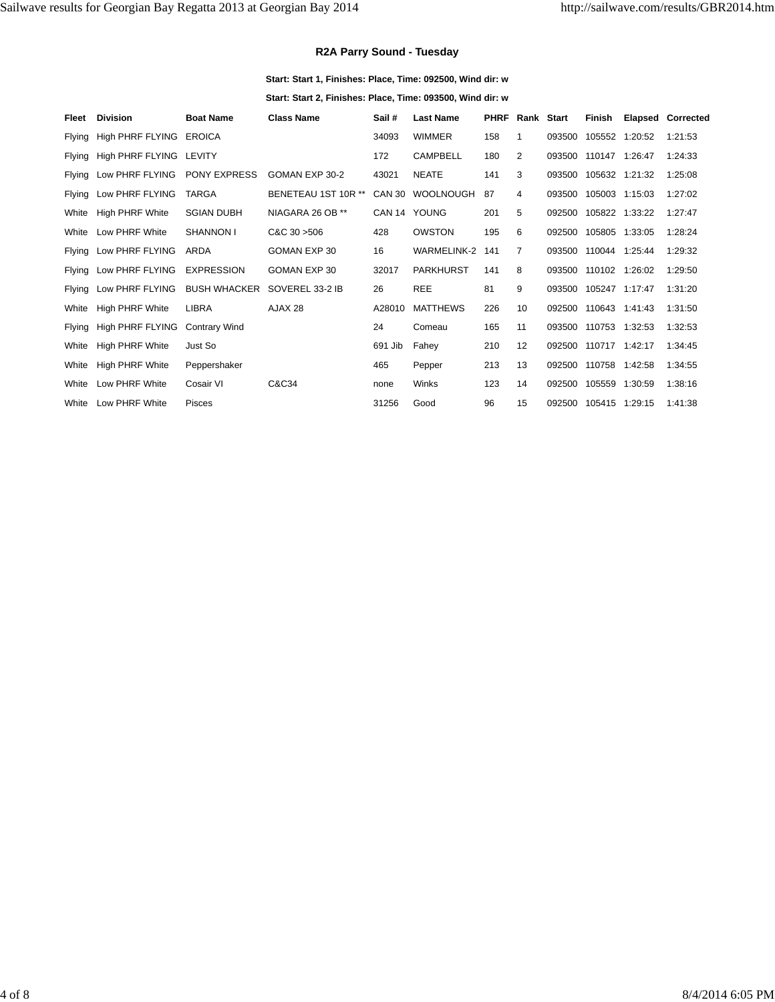#### **R2A Parry Sound - Tuesday**

**Start: Start 1, Finishes: Place, Time: 092500, Wind dir: w**

**Start: Start 2, Finishes: Place, Time: 093500, Wind dir: w**

| Fleet  | <b>Division</b>         | <b>Boat Name</b>     | <b>Class Name</b>   | Sail#         | <b>Last Name</b> | <b>PHRF</b> | Rank Start     |        | Finish                |         | <b>Elapsed Corrected</b> |
|--------|-------------------------|----------------------|---------------------|---------------|------------------|-------------|----------------|--------|-----------------------|---------|--------------------------|
| Flying | High PHRF FLYING EROICA |                      |                     | 34093         | <b>WIMMER</b>    | 158         | 1              | 093500 | 105552 1:20:52        |         | 1:21:53                  |
| Flying | High PHRF FLYING LEVITY |                      |                     | 172           | <b>CAMPBELL</b>  | 180         | $\overline{2}$ | 093500 | 110147 1:26:47        |         | 1:24:33                  |
| Flying | Low PHRF FLYING         | <b>PONY EXPRESS</b>  | GOMAN EXP 30-2      | 43021         | <b>NEATE</b>     | 141         | 3              | 093500 | 105632 1:21:32        |         | 1:25:08                  |
| Flying | Low PHRF FLYING         | TARGA                | BENETEAU 1ST 10R ** | <b>CAN 30</b> | <b>WOOLNOUGH</b> | 87          | 4              | 093500 | 105003 1:15:03        |         | 1:27:02                  |
| White  | <b>High PHRF White</b>  | <b>SGIAN DUBH</b>    | NIAGARA 26 OB **    |               | CAN 14 YOUNG     | 201         | 5              | 092500 | 105822 1:33:22        |         | 1:27:47                  |
| White  | Low PHRF White          | <b>SHANNON I</b>     | C&C30>506           | 428           | <b>OWSTON</b>    | 195         | 6              | 092500 | 105805 1:33:05        |         | 1:28:24                  |
| Flying | Low PHRF FLYING         | ARDA                 | GOMAN EXP 30        | 16            | WARMELINK-2      | 141         | $\overline{7}$ | 093500 | 110044                | 1:25:44 | 1:29:32                  |
| Flying | Low PHRF FLYING         | <b>EXPRESSION</b>    | GOMAN EXP 30        | 32017         | <b>PARKHURST</b> | 141         | 8              | 093500 | 110102 1:26:02        |         | 1:29:50                  |
| Flying | Low PHRF FLYING         | <b>BUSH WHACKER</b>  | SOVEREL 33-2 IB     | 26            | <b>REE</b>       | 81          | 9              | 093500 | 105247 1:17:47        |         | 1:31:20                  |
| White  | <b>High PHRF White</b>  | LIBRA                | AJAX 28             | A28010        | <b>MATTHEWS</b>  | 226         | 10             | 092500 | 110643                | 1:41:43 | 1:31:50                  |
| Flying | High PHRF FLYING        | <b>Contrary Wind</b> |                     | 24            | Comeau           | 165         | 11             |        | 093500 110753 1:32:53 |         | 1:32:53                  |
| White  | <b>High PHRF White</b>  | Just So              |                     | 691 Jib       | Fahey            | 210         | 12             | 092500 | 110717 1:42:17        |         | 1:34:45                  |
| White  | <b>High PHRF White</b>  | Peppershaker         |                     | 465           | Pepper           | 213         | 13             | 092500 | 110758                | 1:42:58 | 1:34:55                  |
| White  | Low PHRF White          | Cosair VI            | C&C34               | none          | Winks            | 123         | 14             | 092500 | 105559 1:30:59        |         | 1:38:16                  |
| White  | Low PHRF White          | <b>Pisces</b>        |                     | 31256         | Good             | 96          | 15             | 092500 | 105415 1:29:15        |         | 1:41:38                  |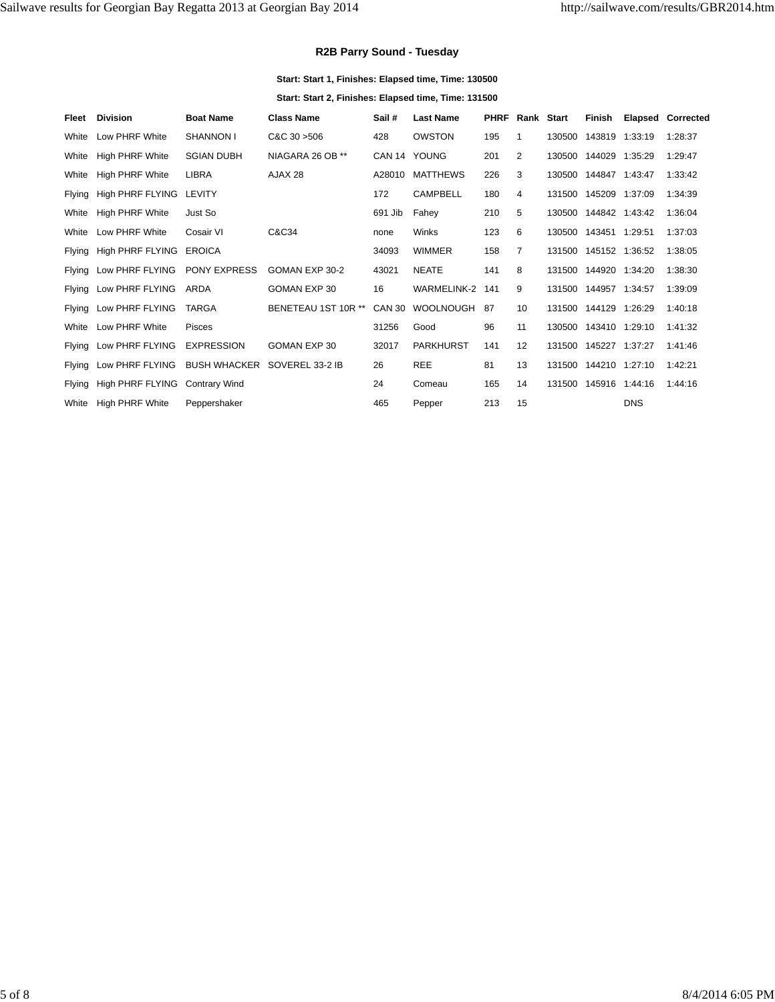#### **R2B Parry Sound - Tuesday**

**Start: Start 1, Finishes: Elapsed time, Time: 130500 Start: Start 2, Finishes: Elapsed time, Time: 131500**

| Fleet         | <b>Division</b>                | <b>Boat Name</b>    | <b>Class Name</b>   | Sail#         | <b>Last Name</b>   | <b>PHRF</b> | Rank Start     |        | Finish                |            | <b>Elapsed Corrected</b> |
|---------------|--------------------------------|---------------------|---------------------|---------------|--------------------|-------------|----------------|--------|-----------------------|------------|--------------------------|
| White         | Low PHRF White                 | <b>SHANNON I</b>    | C&C30>506           | 428           | <b>OWSTON</b>      | 195         |                | 130500 | 143819 1:33:19        |            | 1:28:37                  |
| White         | High PHRF White                | <b>SGIAN DUBH</b>   | NIAGARA 26 OB **    | CAN 14 YOUNG  |                    | 201         | 2              | 130500 | 144029 1:35:29        |            | 1:29:47                  |
| White         | <b>High PHRF White</b>         | <b>LIBRA</b>        | AJAX 28             | A28010        | <b>MATTHEWS</b>    | 226         | 3              | 130500 | 144847 1:43:47        |            | 1:33:42                  |
| <b>Flying</b> | High PHRF FLYING LEVITY        |                     |                     | 172           | <b>CAMPBELL</b>    | 180         | 4              | 131500 | 145209 1:37:09        |            | 1:34:39                  |
| White         | High PHRF White                | Just So             |                     | 691 Jib       | Fahey              | 210         | 5              | 130500 | 144842 1:43:42        |            | 1:36:04                  |
| White         | Low PHRF White                 | Cosair VI           | C&C34               | none          | Winks              | 123         | 6              | 130500 | 143451 1:29:51        |            | 1:37:03                  |
| Flying        | High PHRF FLYING EROICA        |                     |                     | 34093         | <b>WIMMER</b>      | 158         | $\overline{7}$ | 131500 | 145152 1:36:52        |            | 1:38:05                  |
| Flying        | Low PHRF FLYING                | <b>PONY EXPRESS</b> | GOMAN EXP 30-2      | 43021         | <b>NEATE</b>       | 141         | 8              | 131500 | 144920 1:34:20        |            | 1:38:30                  |
| Flying        | Low PHRF FLYING                | ARDA                | GOMAN EXP 30        | 16            | <b>WARMELINK-2</b> | 141         | 9              | 131500 | 144957 1:34:57        |            | 1:39:09                  |
| Flying        | Low PHRF FLYING                | <b>TARGA</b>        | BENETEAU 1ST 10R ** | <b>CAN 30</b> | <b>WOOLNOUGH</b>   | 87          | 10             | 131500 | 144129 1:26:29        |            | 1:40:18                  |
| White         | Low PHRF White                 | <b>Pisces</b>       |                     | 31256         | Good               | 96          | 11             | 130500 | 143410 1:29:10        |            | 1:41:32                  |
| Flying        | Low PHRF FLYING                | <b>EXPRESSION</b>   | GOMAN EXP 30        | 32017         | <b>PARKHURST</b>   | 141         | 12             | 131500 | 145227 1:37:27        |            | 1:41:46                  |
| <b>Flying</b> | Low PHRF FLYING                | <b>BUSH WHACKER</b> | SOVEREL 33-2 IB     | 26            | <b>REE</b>         | 81          | 13             | 131500 | 144210 1:27:10        |            | 1:42:21                  |
| Flying        | High PHRF FLYING Contrary Wind |                     |                     | 24            | Comeau             | 165         | 14             |        | 131500 145916 1:44:16 |            | 1:44:16                  |
| White         | <b>High PHRF White</b>         | Peppershaker        |                     | 465           | Pepper             | 213         | 15             |        |                       | <b>DNS</b> |                          |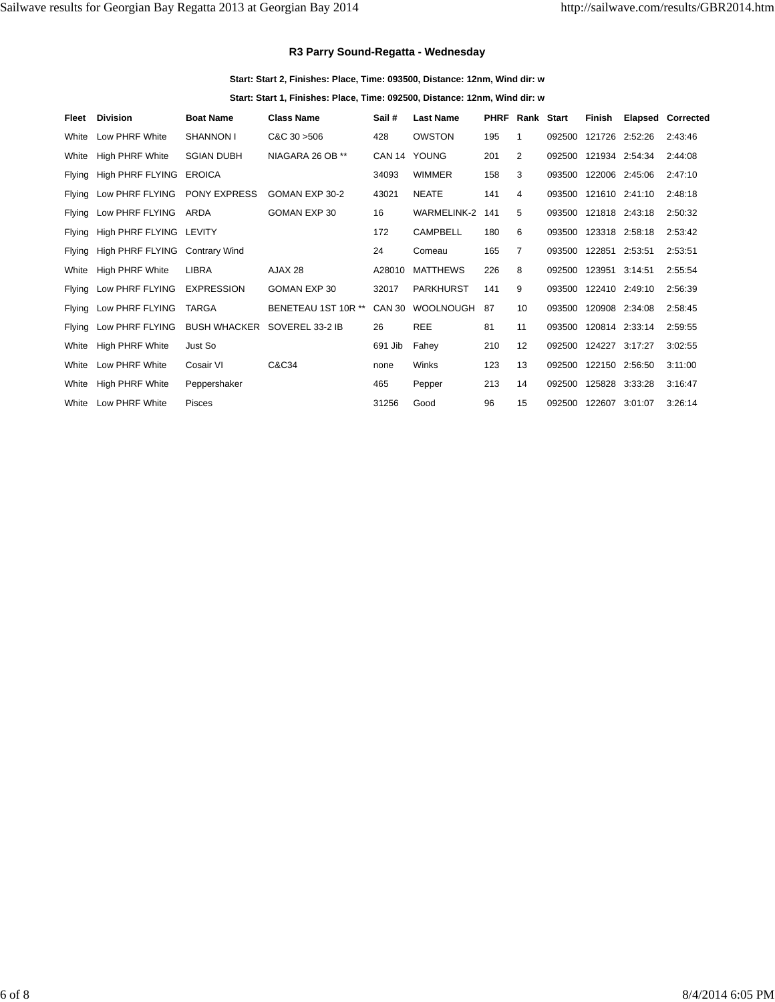#### **R3 Parry Sound-Regatta - Wednesday**

**Start: Start 2, Finishes: Place, Time: 093500, Distance: 12nm, Wind dir: w**

**Start: Start 1, Finishes: Place, Time: 092500, Distance: 12nm, Wind dir: w**

| Fleet         | <b>Division</b>                | <b>Boat Name</b>    | <b>Class Name</b>   | Sail#         | <b>Last Name</b>   | <b>PHRF</b> | Rank Start     |        | Finish                | <b>Elapsed Corrected</b> |
|---------------|--------------------------------|---------------------|---------------------|---------------|--------------------|-------------|----------------|--------|-----------------------|--------------------------|
| White         | Low PHRF White                 | <b>SHANNON I</b>    | C&C30>506           | 428           | <b>OWSTON</b>      | 195         | 1              | 092500 | 121726 2:52:26        | 2:43:46                  |
| White         | <b>High PHRF White</b>         | <b>SGIAN DUBH</b>   | NIAGARA 26 OB **    |               | CAN 14 YOUNG       | 201         | $\overline{2}$ | 092500 | 121934 2:54:34        | 2:44:08                  |
| <b>Flying</b> | High PHRF FLYING EROICA        |                     |                     | 34093         | <b>WIMMER</b>      | 158         | 3              | 093500 | 122006 2:45:06        | 2:47:10                  |
|               | Flying Low PHRF FLYING         | <b>PONY EXPRESS</b> | GOMAN EXP 30-2      | 43021         | <b>NEATE</b>       | 141         | 4              | 093500 | 121610 2:41:10        | 2:48:18                  |
| Flying        | Low PHRF FLYING                | ARDA                | GOMAN EXP 30        | 16            | <b>WARMELINK-2</b> | 141         | 5              | 093500 | 121818 2:43:18        | 2:50:32                  |
| Flying        | High PHRF FLYING LEVITY        |                     |                     | 172           | <b>CAMPBELL</b>    | 180         | 6              |        | 093500 123318 2:58:18 | 2:53:42                  |
| <b>Flying</b> | High PHRF FLYING Contrary Wind |                     |                     | 24            | Comeau             | 165         | $\overline{7}$ | 093500 | 122851 2:53:51        | 2:53:51                  |
| White         | <b>High PHRF White</b>         | <b>LIBRA</b>        | AJAX 28             | A28010        | <b>MATTHEWS</b>    | 226         | 8              | 092500 | 123951 3:14:51        | 2:55:54                  |
| <b>Flving</b> | Low PHRF FLYING                | <b>EXPRESSION</b>   | GOMAN EXP 30        | 32017         | <b>PARKHURST</b>   | 141         | 9              | 093500 | 122410 2:49:10        | 2:56:39                  |
| Flying        | Low PHRF FLYING                | TARGA               | BENETEAU 1ST 10R ** | <b>CAN 30</b> | <b>WOOLNOUGH</b>   | 87          | 10             | 093500 | 120908 2:34:08        | 2:58:45                  |
|               | Flying Low PHRF FLYING         | <b>BUSH WHACKER</b> | SOVEREL 33-2 IB     | 26            | <b>REE</b>         | 81          | 11             | 093500 | 120814 2:33:14        | 2:59:55                  |
| White         | High PHRF White                | Just So             |                     | 691 Jib       | Fahey              | 210         | 12             | 092500 | 124227 3:17:27        | 3:02:55                  |
| White         | Low PHRF White                 | Cosair VI           | C&C34               | none          | Winks              | 123         | 13             | 092500 | 122150 2:56:50        | 3:11:00                  |
| White         | <b>High PHRF White</b>         | Peppershaker        |                     | 465           | Pepper             | 213         | 14             | 092500 | 125828 3:33:28        | 3:16:47                  |
| White         | Low PHRF White                 | <b>Pisces</b>       |                     | 31256         | Good               | 96          | 15             | 092500 | 122607 3:01:07        | 3:26:14                  |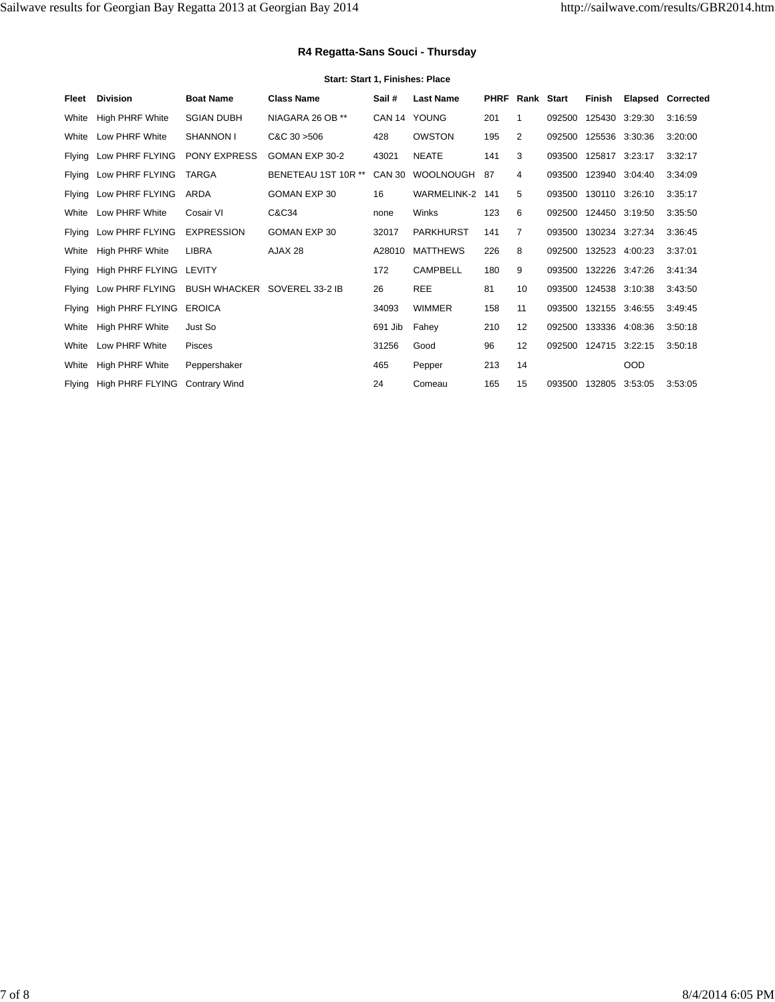## **R4 Regatta-Sans Souci - Thursday**

#### **Start: Start 1, Finishes: Place**

| Fleet  | <b>Division</b>         | <b>Boat Name</b>             | <b>Class Name</b>   | Sail#         | <b>Last Name</b>   | <b>PHRF</b> | Rank Start |        | Finish         |     | <b>Elapsed Corrected</b> |
|--------|-------------------------|------------------------------|---------------------|---------------|--------------------|-------------|------------|--------|----------------|-----|--------------------------|
| White  | <b>High PHRF White</b>  | <b>SGIAN DUBH</b>            | NIAGARA 26 OB **    |               | CAN 14 YOUNG       | 201         |            | 092500 | 125430 3:29:30 |     | 3:16:59                  |
| White  | Low PHRF White          | <b>SHANNON I</b>             | C&C30>506           | 428           | <b>OWSTON</b>      | 195         | 2          | 092500 | 125536 3:30:36 |     | 3:20:00                  |
| Flying | Low PHRF FLYING         | PONY EXPRESS                 | GOMAN EXP 30-2      | 43021         | <b>NEATE</b>       | 141         | 3          | 093500 | 125817 3:23:17 |     | 3:32:17                  |
| Flying | Low PHRF FLYING         | <b>TARGA</b>                 | BENETEAU 1ST 10R ** | <b>CAN 30</b> | <b>WOOLNOUGH</b>   | 87          | 4          | 093500 | 123940 3:04:40 |     | 3:34:09                  |
| Flying | Low PHRF FLYING         | <b>ARDA</b>                  | GOMAN EXP 30        | 16            | <b>WARMELINK-2</b> | 141         | 5          | 093500 | 130110 3:26:10 |     | 3:35:17                  |
| White  | Low PHRF White          | Cosair VI                    | C&C34               | none          | Winks              | 123         | 6          | 092500 | 124450 3:19:50 |     | 3:35:50                  |
| Flying | Low PHRF FLYING         | <b>EXPRESSION</b>            | GOMAN EXP 30        | 32017         | <b>PARKHURST</b>   | 141         | 7          | 093500 | 130234 3:27:34 |     | 3:36:45                  |
| White  | High PHRF White         | <b>LIBRA</b>                 | AJAX 28             | A28010        | <b>MATTHEWS</b>    | 226         | 8          | 092500 | 132523 4:00:23 |     | 3:37:01                  |
| Flying | High PHRF FLYING        | LEVITY                       |                     | 172           | <b>CAMPBELL</b>    | 180         | 9          | 093500 | 132226 3:47:26 |     | 3:41:34                  |
| Flying | Low PHRF FLYING         | BUSH WHACKER SOVEREL 33-2 IB |                     | 26            | <b>REE</b>         | 81          | 10         | 093500 | 124538 3:10:38 |     | 3:43:50                  |
| Flying | High PHRF FLYING EROICA |                              |                     | 34093         | <b>WIMMER</b>      | 158         | 11         | 093500 | 132155 3:46:55 |     | 3:49:45                  |
| White  | <b>High PHRF White</b>  | Just So                      |                     | 691 Jib       | Fahey              | 210         | 12         | 092500 | 133336 4:08:36 |     | 3:50:18                  |
| White  | Low PHRF White          | <b>Pisces</b>                |                     | 31256         | Good               | 96          | 12         | 092500 | 124715 3:22:15 |     | 3:50:18                  |
| White  | High PHRF White         | Peppershaker                 |                     | 465           | Pepper             | 213         | 14         |        |                | OOD |                          |
| Flying | High PHRF FLYING        | <b>Contrary Wind</b>         |                     | 24            | Comeau             | 165         | 15         | 093500 | 132805 3:53:05 |     | 3:53:05                  |